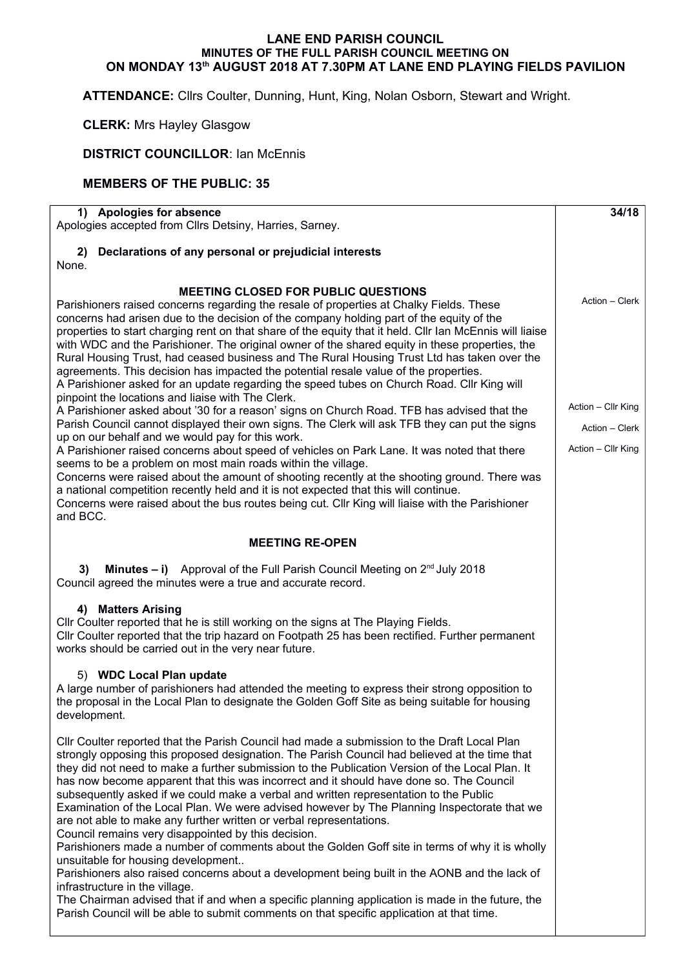## **LANE END PARISH COUNCIL MINUTES OF THE FULL PARISH COUNCIL MEETING ON ON MONDAY 13th AUGUST 2018 AT 7.30PM AT LANE END PLAYING FIELDS PAVILION**

**ATTENDANCE:** Cllrs Coulter, Dunning, Hunt, King, Nolan Osborn, Stewart and Wright.

**CLERK:** Mrs Hayley Glasgow

**DISTRICT COUNCILLOR: Ian McEnnis** 

## **MEMBERS OF THE PUBLIC: 35**

| 1) Apologies for absence<br>Apologies accepted from Cllrs Detsiny, Harries, Sarney.                                                                                                                                                                                                                                                                                                                                                                                                                                                                                                                                                                                                                                                                                                                                                                                                                                                                                                                                                                                                                                                                                                                                                                                                                                                                                                                                                                                                                                 | 34/18                                                                        |
|---------------------------------------------------------------------------------------------------------------------------------------------------------------------------------------------------------------------------------------------------------------------------------------------------------------------------------------------------------------------------------------------------------------------------------------------------------------------------------------------------------------------------------------------------------------------------------------------------------------------------------------------------------------------------------------------------------------------------------------------------------------------------------------------------------------------------------------------------------------------------------------------------------------------------------------------------------------------------------------------------------------------------------------------------------------------------------------------------------------------------------------------------------------------------------------------------------------------------------------------------------------------------------------------------------------------------------------------------------------------------------------------------------------------------------------------------------------------------------------------------------------------|------------------------------------------------------------------------------|
| Declarations of any personal or prejudicial interests<br>2)<br>None.                                                                                                                                                                                                                                                                                                                                                                                                                                                                                                                                                                                                                                                                                                                                                                                                                                                                                                                                                                                                                                                                                                                                                                                                                                                                                                                                                                                                                                                |                                                                              |
| <b>MEETING CLOSED FOR PUBLIC QUESTIONS</b><br>Parishioners raised concerns regarding the resale of properties at Chalky Fields. These<br>concerns had arisen due to the decision of the company holding part of the equity of the<br>properties to start charging rent on that share of the equity that it held. Cllr Ian McEnnis will liaise<br>with WDC and the Parishioner. The original owner of the shared equity in these properties, the<br>Rural Housing Trust, had ceased business and The Rural Housing Trust Ltd has taken over the<br>agreements. This decision has impacted the potential resale value of the properties.<br>A Parishioner asked for an update regarding the speed tubes on Church Road. Cllr King will<br>pinpoint the locations and liaise with The Clerk.<br>A Parishioner asked about '30 for a reason' signs on Church Road. TFB has advised that the<br>Parish Council cannot displayed their own signs. The Clerk will ask TFB they can put the signs<br>up on our behalf and we would pay for this work.<br>A Parishioner raised concerns about speed of vehicles on Park Lane. It was noted that there<br>seems to be a problem on most main roads within the village.<br>Concerns were raised about the amount of shooting recently at the shooting ground. There was<br>a national competition recently held and it is not expected that this will continue.<br>Concerns were raised about the bus routes being cut. Cllr King will liaise with the Parishioner<br>and BCC. | Action - Clerk<br>Action - Cllr King<br>Action - Clerk<br>Action - Cllr King |
| <b>MEETING RE-OPEN</b>                                                                                                                                                                                                                                                                                                                                                                                                                                                                                                                                                                                                                                                                                                                                                                                                                                                                                                                                                                                                                                                                                                                                                                                                                                                                                                                                                                                                                                                                                              |                                                                              |
| <b>Minutes – i)</b> Approval of the Full Parish Council Meeting on $2^{nd}$ July 2018<br>3)<br>Council agreed the minutes were a true and accurate record.                                                                                                                                                                                                                                                                                                                                                                                                                                                                                                                                                                                                                                                                                                                                                                                                                                                                                                                                                                                                                                                                                                                                                                                                                                                                                                                                                          |                                                                              |
| 4) Matters Arising<br>Cllr Coulter reported that he is still working on the signs at The Playing Fields.<br>Cllr Coulter reported that the trip hazard on Footpath 25 has been rectified. Further permanent<br>works should be carried out in the very near future.                                                                                                                                                                                                                                                                                                                                                                                                                                                                                                                                                                                                                                                                                                                                                                                                                                                                                                                                                                                                                                                                                                                                                                                                                                                 |                                                                              |
| 5) WDC Local Plan update<br>A large number of parishioners had attended the meeting to express their strong opposition to<br>the proposal in the Local Plan to designate the Golden Goff Site as being suitable for housing<br>development.                                                                                                                                                                                                                                                                                                                                                                                                                                                                                                                                                                                                                                                                                                                                                                                                                                                                                                                                                                                                                                                                                                                                                                                                                                                                         |                                                                              |
| Cllr Coulter reported that the Parish Council had made a submission to the Draft Local Plan<br>strongly opposing this proposed designation. The Parish Council had believed at the time that<br>they did not need to make a further submission to the Publication Version of the Local Plan. It<br>has now become apparent that this was incorrect and it should have done so. The Council<br>subsequently asked if we could make a verbal and written representation to the Public<br>Examination of the Local Plan. We were advised however by The Planning Inspectorate that we<br>are not able to make any further written or verbal representations.<br>Council remains very disappointed by this decision.<br>Parishioners made a number of comments about the Golden Goff site in terms of why it is wholly<br>unsuitable for housing development<br>Parishioners also raised concerns about a development being built in the AONB and the lack of<br>infrastructure in the village.                                                                                                                                                                                                                                                                                                                                                                                                                                                                                                                         |                                                                              |
| The Chairman advised that if and when a specific planning application is made in the future, the<br>Parish Council will be able to submit comments on that specific application at that time.                                                                                                                                                                                                                                                                                                                                                                                                                                                                                                                                                                                                                                                                                                                                                                                                                                                                                                                                                                                                                                                                                                                                                                                                                                                                                                                       |                                                                              |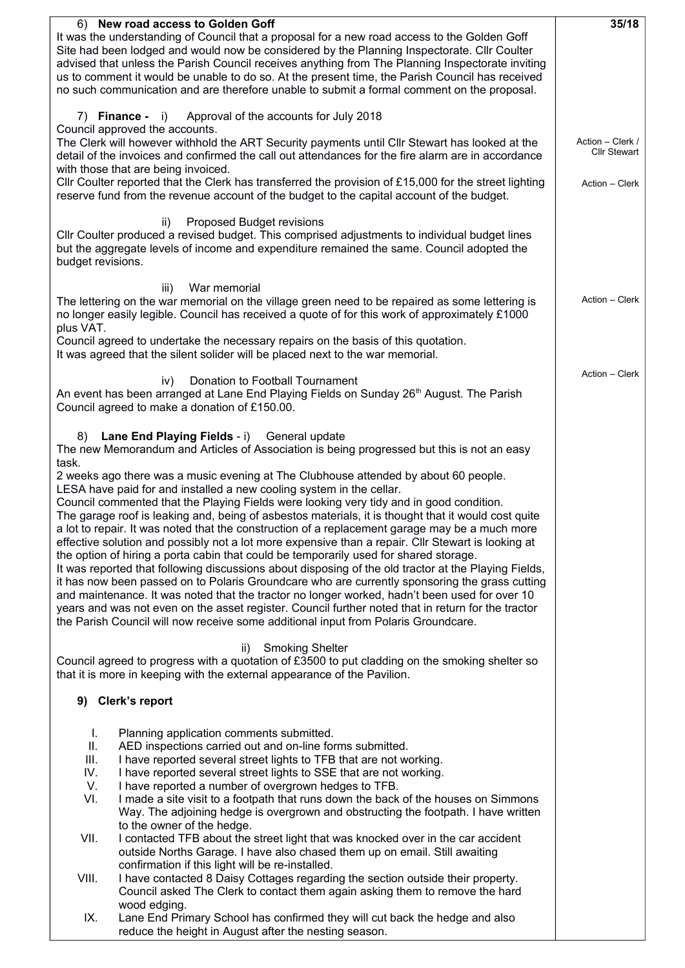| 6) New road access to Golden Goff<br>It was the understanding of Council that a proposal for a new road access to the Golden Goff                                                                                                                                                                                                                                                                                                                                                                                                                                                                                                                                                                                                                                                                                                                                                                                                                                                                                                                                                                                                                                              |                |  |  |  |  |  |
|--------------------------------------------------------------------------------------------------------------------------------------------------------------------------------------------------------------------------------------------------------------------------------------------------------------------------------------------------------------------------------------------------------------------------------------------------------------------------------------------------------------------------------------------------------------------------------------------------------------------------------------------------------------------------------------------------------------------------------------------------------------------------------------------------------------------------------------------------------------------------------------------------------------------------------------------------------------------------------------------------------------------------------------------------------------------------------------------------------------------------------------------------------------------------------|----------------|--|--|--|--|--|
| Site had been lodged and would now be considered by the Planning Inspectorate. Cllr Coulter<br>advised that unless the Parish Council receives anything from The Planning Inspectorate inviting<br>us to comment it would be unable to do so. At the present time, the Parish Council has received<br>no such communication and are therefore unable to submit a formal comment on the proposal.                                                                                                                                                                                                                                                                                                                                                                                                                                                                                                                                                                                                                                                                                                                                                                               |                |  |  |  |  |  |
| Approval of the accounts for July 2018<br>7) <b>Finance</b> - i)                                                                                                                                                                                                                                                                                                                                                                                                                                                                                                                                                                                                                                                                                                                                                                                                                                                                                                                                                                                                                                                                                                               |                |  |  |  |  |  |
| Council approved the accounts.<br>The Clerk will however withhold the ART Security payments until Cllr Stewart has looked at the<br>detail of the invoices and confirmed the call out attendances for the fire alarm are in accordance<br>with those that are being invoiced.                                                                                                                                                                                                                                                                                                                                                                                                                                                                                                                                                                                                                                                                                                                                                                                                                                                                                                  |                |  |  |  |  |  |
| CIIr Coulter reported that the Clerk has transferred the provision of £15,000 for the street lighting<br>reserve fund from the revenue account of the budget to the capital account of the budget.                                                                                                                                                                                                                                                                                                                                                                                                                                                                                                                                                                                                                                                                                                                                                                                                                                                                                                                                                                             | Action - Clerk |  |  |  |  |  |
| Proposed Budget revisions<br>ii)<br>Cllr Coulter produced a revised budget. This comprised adjustments to individual budget lines<br>but the aggregate levels of income and expenditure remained the same. Council adopted the<br>budget revisions.                                                                                                                                                                                                                                                                                                                                                                                                                                                                                                                                                                                                                                                                                                                                                                                                                                                                                                                            |                |  |  |  |  |  |
| War memorial<br>iii)<br>The lettering on the war memorial on the village green need to be repaired as some lettering is<br>no longer easily legible. Council has received a quote of for this work of approximately £1000<br>plus VAT.                                                                                                                                                                                                                                                                                                                                                                                                                                                                                                                                                                                                                                                                                                                                                                                                                                                                                                                                         | Action - Clerk |  |  |  |  |  |
| Council agreed to undertake the necessary repairs on the basis of this quotation.<br>It was agreed that the silent solider will be placed next to the war memorial.                                                                                                                                                                                                                                                                                                                                                                                                                                                                                                                                                                                                                                                                                                                                                                                                                                                                                                                                                                                                            |                |  |  |  |  |  |
| Donation to Football Tournament<br>iv)<br>An event has been arranged at Lane End Playing Fields on Sunday 26 <sup>th</sup> August. The Parish<br>Council agreed to make a donation of £150.00.                                                                                                                                                                                                                                                                                                                                                                                                                                                                                                                                                                                                                                                                                                                                                                                                                                                                                                                                                                                 | Action - Clerk |  |  |  |  |  |
| Lane End Playing Fields - i) General update<br>8)<br>The new Memorandum and Articles of Association is being progressed but this is not an easy                                                                                                                                                                                                                                                                                                                                                                                                                                                                                                                                                                                                                                                                                                                                                                                                                                                                                                                                                                                                                                |                |  |  |  |  |  |
| task.<br>2 weeks ago there was a music evening at The Clubhouse attended by about 60 people.<br>LESA have paid for and installed a new cooling system in the cellar.<br>Council commented that the Playing Fields were looking very tidy and in good condition.<br>The garage roof is leaking and, being of asbestos materials, it is thought that it would cost quite<br>a lot to repair. It was noted that the construction of a replacement garage may be a much more<br>effective solution and possibly not a lot more expensive than a repair. Cllr Stewart is looking at<br>the option of hiring a porta cabin that could be temporarily used for shared storage.<br>It was reported that following discussions about disposing of the old tractor at the Playing Fields,<br>it has now been passed on to Polaris Groundcare who are currently sponsoring the grass cutting<br>and maintenance. It was noted that the tractor no longer worked, hadn't been used for over 10<br>years and was not even on the asset register. Council further noted that in return for the tractor<br>the Parish Council will now receive some additional input from Polaris Groundcare. |                |  |  |  |  |  |
| <b>Smoking Shelter</b><br>ii)<br>Council agreed to progress with a quotation of £3500 to put cladding on the smoking shelter so<br>that it is more in keeping with the external appearance of the Pavilion.                                                                                                                                                                                                                                                                                                                                                                                                                                                                                                                                                                                                                                                                                                                                                                                                                                                                                                                                                                    |                |  |  |  |  |  |
| 9) Clerk's report                                                                                                                                                                                                                                                                                                                                                                                                                                                                                                                                                                                                                                                                                                                                                                                                                                                                                                                                                                                                                                                                                                                                                              |                |  |  |  |  |  |
| L.<br>Planning application comments submitted.<br>AED inspections carried out and on-line forms submitted.<br>Ш.<br>I have reported several street lights to TFB that are not working.<br>III.<br>IV.<br>I have reported several street lights to SSE that are not working.<br>V.<br>I have reported a number of overgrown hedges to TFB.<br>VI.<br>I made a site visit to a footpath that runs down the back of the houses on Simmons<br>Way. The adjoining hedge is overgrown and obstructing the footpath. I have written                                                                                                                                                                                                                                                                                                                                                                                                                                                                                                                                                                                                                                                   |                |  |  |  |  |  |
| to the owner of the hedge.<br>VII.<br>I contacted TFB about the street light that was knocked over in the car accident<br>outside Norths Garage. I have also chased them up on email. Still awaiting                                                                                                                                                                                                                                                                                                                                                                                                                                                                                                                                                                                                                                                                                                                                                                                                                                                                                                                                                                           |                |  |  |  |  |  |
| confirmation if this light will be re-installed.<br>I have contacted 8 Daisy Cottages regarding the section outside their property.<br>VIII.<br>Council asked The Clerk to contact them again asking them to remove the hard                                                                                                                                                                                                                                                                                                                                                                                                                                                                                                                                                                                                                                                                                                                                                                                                                                                                                                                                                   |                |  |  |  |  |  |
| wood edging.<br>Lane End Primary School has confirmed they will cut back the hedge and also<br>IX.<br>reduce the height in August after the nesting season.                                                                                                                                                                                                                                                                                                                                                                                                                                                                                                                                                                                                                                                                                                                                                                                                                                                                                                                                                                                                                    |                |  |  |  |  |  |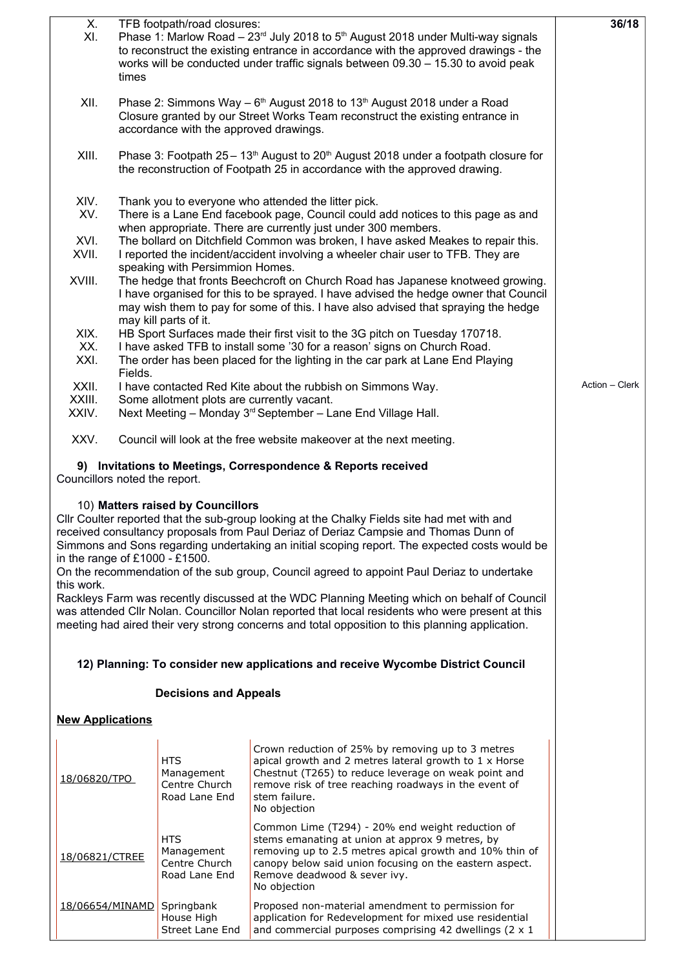| X.<br>XI.                                                                                                                                                                                                                                                                                                                                                                                                              | times                                                                                                                                                               | TFB footpath/road closures:                                | Phase 1: Marlow Road – $23^{rd}$ July 2018 to $5^{th}$ August 2018 under Multi-way signals<br>to reconstruct the existing entrance in accordance with the approved drawings - the<br>works will be conducted under traffic signals between 09.30 - 15.30 to avoid peak                                                                                                                                                                                                            | 36/18          |  |  |
|------------------------------------------------------------------------------------------------------------------------------------------------------------------------------------------------------------------------------------------------------------------------------------------------------------------------------------------------------------------------------------------------------------------------|---------------------------------------------------------------------------------------------------------------------------------------------------------------------|------------------------------------------------------------|-----------------------------------------------------------------------------------------------------------------------------------------------------------------------------------------------------------------------------------------------------------------------------------------------------------------------------------------------------------------------------------------------------------------------------------------------------------------------------------|----------------|--|--|
| XII.                                                                                                                                                                                                                                                                                                                                                                                                                   |                                                                                                                                                                     |                                                            |                                                                                                                                                                                                                                                                                                                                                                                                                                                                                   |                |  |  |
| XIII.                                                                                                                                                                                                                                                                                                                                                                                                                  | Phase 3: Footpath $25-13th$ August to $20th$ August 2018 under a footpath closure for<br>the reconstruction of Footpath 25 in accordance with the approved drawing. |                                                            |                                                                                                                                                                                                                                                                                                                                                                                                                                                                                   |                |  |  |
| XIV.<br>XV.<br>XVI.<br>XVII.                                                                                                                                                                                                                                                                                                                                                                                           |                                                                                                                                                                     |                                                            |                                                                                                                                                                                                                                                                                                                                                                                                                                                                                   |                |  |  |
| I reported the incident/accident involving a wheeler chair user to TFB. They are<br>speaking with Persimmion Homes.<br>XVIII.<br>The hedge that fronts Beechcroft on Church Road has Japanese knotweed growing.<br>I have organised for this to be sprayed. I have advised the hedge owner that Council<br>may wish them to pay for some of this. I have also advised that spraying the hedge<br>may kill parts of it. |                                                                                                                                                                     |                                                            |                                                                                                                                                                                                                                                                                                                                                                                                                                                                                   |                |  |  |
| XIX.                                                                                                                                                                                                                                                                                                                                                                                                                   |                                                                                                                                                                     |                                                            | HB Sport Surfaces made their first visit to the 3G pitch on Tuesday 170718.                                                                                                                                                                                                                                                                                                                                                                                                       |                |  |  |
| XX.<br>XXI.                                                                                                                                                                                                                                                                                                                                                                                                            | Fields.                                                                                                                                                             |                                                            | I have asked TFB to install some '30 for a reason' signs on Church Road.<br>The order has been placed for the lighting in the car park at Lane End Playing                                                                                                                                                                                                                                                                                                                        |                |  |  |
| XXII.                                                                                                                                                                                                                                                                                                                                                                                                                  |                                                                                                                                                                     |                                                            | I have contacted Red Kite about the rubbish on Simmons Way.                                                                                                                                                                                                                                                                                                                                                                                                                       | Action - Clerk |  |  |
| XXIII.                                                                                                                                                                                                                                                                                                                                                                                                                 |                                                                                                                                                                     | Some allotment plots are currently vacant.                 |                                                                                                                                                                                                                                                                                                                                                                                                                                                                                   |                |  |  |
| XXIV.                                                                                                                                                                                                                                                                                                                                                                                                                  |                                                                                                                                                                     |                                                            | Next Meeting - Monday 3rd September - Lane End Village Hall.                                                                                                                                                                                                                                                                                                                                                                                                                      |                |  |  |
| XXV.                                                                                                                                                                                                                                                                                                                                                                                                                   |                                                                                                                                                                     |                                                            | Council will look at the free website makeover at the next meeting.                                                                                                                                                                                                                                                                                                                                                                                                               |                |  |  |
| Councillors noted the report.                                                                                                                                                                                                                                                                                                                                                                                          |                                                                                                                                                                     |                                                            | 9) Invitations to Meetings, Correspondence & Reports received                                                                                                                                                                                                                                                                                                                                                                                                                     |                |  |  |
| in the range of $£1000 - £1500$ .<br>this work.                                                                                                                                                                                                                                                                                                                                                                        |                                                                                                                                                                     | 10) Matters raised by Councillors                          | CIIr Coulter reported that the sub-group looking at the Chalky Fields site had met with and<br>received consultancy proposals from Paul Deriaz of Deriaz Campsie and Thomas Dunn of<br>Simmons and Sons regarding undertaking an initial scoping report. The expected costs would be<br>On the recommendation of the sub group, Council agreed to appoint Paul Deriaz to undertake<br>Rackleys Farm was recently discussed at the WDC Planning Meeting which on behalf of Council |                |  |  |
|                                                                                                                                                                                                                                                                                                                                                                                                                        |                                                                                                                                                                     |                                                            | was attended Cllr Nolan. Councillor Nolan reported that local residents who were present at this<br>meeting had aired their very strong concerns and total opposition to this planning application.                                                                                                                                                                                                                                                                               |                |  |  |
|                                                                                                                                                                                                                                                                                                                                                                                                                        |                                                                                                                                                                     |                                                            | 12) Planning: To consider new applications and receive Wycombe District Council                                                                                                                                                                                                                                                                                                                                                                                                   |                |  |  |
|                                                                                                                                                                                                                                                                                                                                                                                                                        |                                                                                                                                                                     | <b>Decisions and Appeals</b>                               |                                                                                                                                                                                                                                                                                                                                                                                                                                                                                   |                |  |  |
| <b>New Applications</b>                                                                                                                                                                                                                                                                                                                                                                                                |                                                                                                                                                                     |                                                            |                                                                                                                                                                                                                                                                                                                                                                                                                                                                                   |                |  |  |
| 18/06820/TPO                                                                                                                                                                                                                                                                                                                                                                                                           |                                                                                                                                                                     | <b>HTS</b><br>Management<br>Centre Church<br>Road Lane End | Crown reduction of 25% by removing up to 3 metres<br>apical growth and 2 metres lateral growth to 1 x Horse<br>Chestnut (T265) to reduce leverage on weak point and<br>remove risk of tree reaching roadways in the event of<br>stem failure.<br>No objection                                                                                                                                                                                                                     |                |  |  |
| 18/06821/CTREE                                                                                                                                                                                                                                                                                                                                                                                                         |                                                                                                                                                                     | <b>HTS</b><br>Management<br>Centre Church<br>Road Lane End | Common Lime (T294) - 20% end weight reduction of<br>stems emanating at union at approx 9 metres, by<br>removing up to 2.5 metres apical growth and 10% thin of<br>canopy below said union focusing on the eastern aspect.<br>Remove deadwood & sever ivy.<br>No objection                                                                                                                                                                                                         |                |  |  |
| 18/06654/MINAMD                                                                                                                                                                                                                                                                                                                                                                                                        |                                                                                                                                                                     | Springbank<br>House High<br>Street Lane End                | Proposed non-material amendment to permission for<br>application for Redevelopment for mixed use residential<br>and commercial purposes comprising 42 dwellings ( $2 \times 1$                                                                                                                                                                                                                                                                                                    |                |  |  |